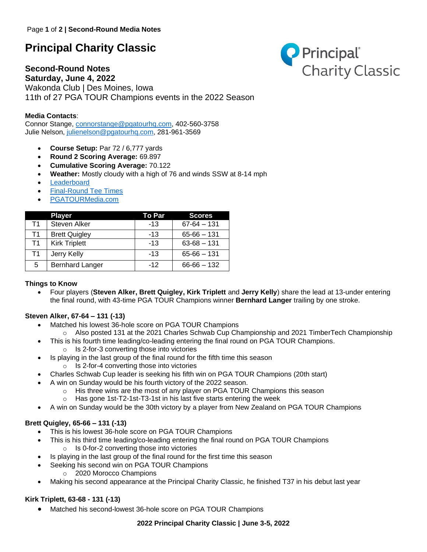## **Principal Charity Classic**

# **Second-Round Notes**



**Saturday, June 4, 2022** Wakonda Club | Des Moines, Iowa 11th of 27 PGA TOUR Champions events in the 2022 Season

## **Media Contacts**:

Connor Stange, [connorstange@pgatourhq.com,](mailto:connorstange@pgatourhq.com) 402-560-3758 Julie Nelson, [julienelson@pgatourhq.com,](mailto:julienelson@pgatourhq.com) 281-961-3569

- **Course Setup:** Par 72 / 6,777 yards
- **Round 2 Scoring Average:** 69.897
- **Cumulative Scoring Average:** 70.122
- **Weather:** Mostly cloudy with a high of 76 and winds SSW at 8-14 mph
- **[Leaderboard](https://www.pgatour.com/champions/competition/2022/principal-charity-classic/leaderboard.html)**
- [Final-Round Tee Times](https://www.pgatour.com/champions/tournaments/principal-charity-classic/tee-times.html)
- [PGATOURMedia.com](https://pgatourmedia.pgatourhq.com/tours/2022/pgatourchampions/principalcharityclassic)

|    | <b>Player</b>          | To Par | <b>Scores</b>   |
|----|------------------------|--------|-----------------|
| T1 | Steven Alker           | $-13$  | $67 - 64 - 131$ |
| Τ1 | <b>Brett Quigley</b>   | $-13$  | $65 - 66 - 131$ |
| T1 | <b>Kirk Triplett</b>   | $-13$  | $63 - 68 - 131$ |
| T1 | Jerry Kelly            | $-13$  | $65 - 66 - 131$ |
| 5  | <b>Bernhard Langer</b> | $-12$  | $66 - 66 - 132$ |

### **Things to Know**

• Four players (**Steven Alker, Brett Quigley, Kirk Triplett** and **Jerry Kelly**) share the lead at 13-under entering the final round, with 43-time PGA TOUR Champions winner **Bernhard Langer** trailing by one stroke.

### **Steven Alker, 67-64 – 131 (-13)**

- Matched his lowest 36-hole score on PGA TOUR Champions
- $\circ$  Also posted 131 at the 2021 Charles Schwab Cup Championship and 2021 TimberTech Championship
- This is his fourth time leading/co-leading entering the final round on PGA TOUR Champions.
	- o Is 2-for-3 converting those into victories
- Is playing in the last group of the final round for the fifth time this season o Is 2-for-4 converting those into victories
- Charles Schwab Cup leader is seeking his fifth win on PGA TOUR Champions (20th start)
- A win on Sunday would be his fourth victory of the 2022 season.
	- o His three wins are the most of any player on PGA TOUR Champions this season
		- o Has gone 1st-T2-1st-T3-1st in his last five starts entering the week
- A win on Sunday would be the 30th victory by a player from New Zealand on PGA TOUR Champions

## **Brett Quigley, 65-66 – 131 (-13)**

- This is his lowest 36-hole score on PGA TOUR Champions
- This is his third time leading/co-leading entering the final round on PGA TOUR Champions o Is 0-for-2 converting those into victories
- Is playing in the last group of the final round for the first time this season
- Seeking his second win on PGA TOUR Champions
	- o 2020 Morocco Champions
- Making his second appearance at the Principal Charity Classic, he finished T37 in his debut last year

## **Kirk Triplett, 63-68 - 131 (-13)**

• Matched his second-lowest 36-hole score on PGA TOUR Champions